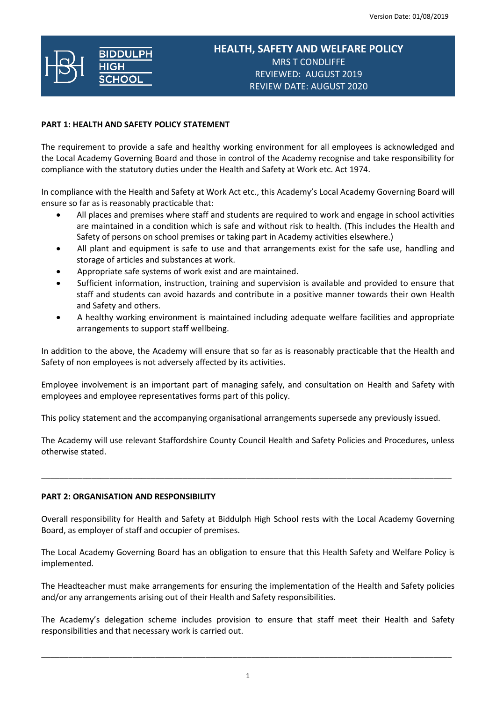# **HEALTH, SAFETY AND WELFARE POLICY** MRS T CONDLIFFE REVIEWED: AUGUST 2019 REVIEW DATE: AUGUST 2020

## **PART 1: HEALTH AND SAFETY POLICY STATEMENT**

The requirement to provide a safe and healthy working environment for all employees is acknowledged and the Local Academy Governing Board and those in control of the Academy recognise and take responsibility for compliance with the statutory duties under the Health and Safety at Work etc. Act 1974.

In compliance with the Health and Safety at Work Act etc., this Academy's Local Academy Governing Board will ensure so far as is reasonably practicable that:

- All places and premises where staff and students are required to work and engage in school activities are maintained in a condition which is safe and without risk to health. (This includes the Health and Safety of persons on school premises or taking part in Academy activities elsewhere.)
- All plant and equipment is safe to use and that arrangements exist for the safe use, handling and storage of articles and substances at work.
- Appropriate safe systems of work exist and are maintained.
- Sufficient information, instruction, training and supervision is available and provided to ensure that staff and students can avoid hazards and contribute in a positive manner towards their own Health and Safety and others.
- A healthy working environment is maintained including adequate welfare facilities and appropriate arrangements to support staff wellbeing.

In addition to the above, the Academy will ensure that so far as is reasonably practicable that the Health and Safety of non employees is not adversely affected by its activities.

Employee involvement is an important part of managing safely, and consultation on Health and Safety with employees and employee representatives forms part of this policy.

This policy statement and the accompanying organisational arrangements supersede any previously issued.

The Academy will use relevant Staffordshire County Council Health and Safety Policies and Procedures, unless otherwise stated.

\_\_\_\_\_\_\_\_\_\_\_\_\_\_\_\_\_\_\_\_\_\_\_\_\_\_\_\_\_\_\_\_\_\_\_\_\_\_\_\_\_\_\_\_\_\_\_\_\_\_\_\_\_\_\_\_\_\_\_\_\_\_\_\_\_\_\_\_\_\_\_\_\_\_\_\_\_\_\_\_\_\_\_\_\_\_\_\_\_\_

# **PART 2: ORGANISATION AND RESPONSIBILITY**

Overall responsibility for Health and Safety at Biddulph High School rests with the Local Academy Governing Board, as employer of staff and occupier of premises.

The Local Academy Governing Board has an obligation to ensure that this Health Safety and Welfare Policy is implemented.

The Headteacher must make arrangements for ensuring the implementation of the Health and Safety policies and/or any arrangements arising out of their Health and Safety responsibilities.

The Academy's delegation scheme includes provision to ensure that staff meet their Health and Safety responsibilities and that necessary work is carried out.

\_\_\_\_\_\_\_\_\_\_\_\_\_\_\_\_\_\_\_\_\_\_\_\_\_\_\_\_\_\_\_\_\_\_\_\_\_\_\_\_\_\_\_\_\_\_\_\_\_\_\_\_\_\_\_\_\_\_\_\_\_\_\_\_\_\_\_\_\_\_\_\_\_\_\_\_\_\_\_\_\_\_\_\_\_\_\_\_\_\_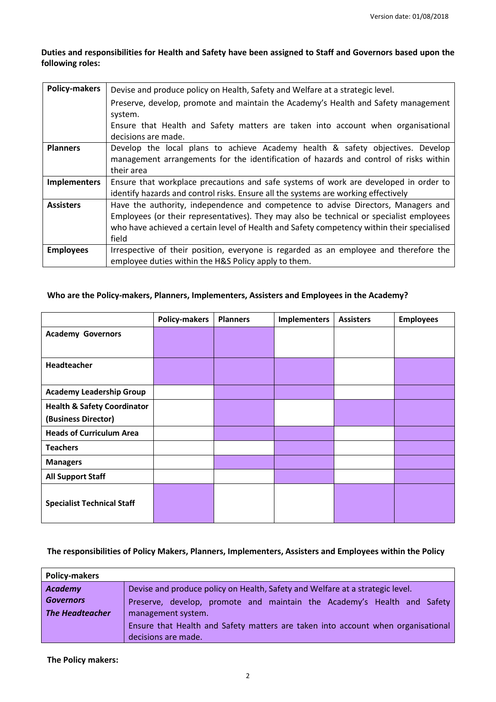# **Duties and responsibilities for Health and Safety have been assigned to Staff and Governors based upon the following roles:**

| <b>Policy-makers</b> | Devise and produce policy on Health, Safety and Welfare at a strategic level.                                                                                                                                                                                                        |
|----------------------|--------------------------------------------------------------------------------------------------------------------------------------------------------------------------------------------------------------------------------------------------------------------------------------|
|                      | Preserve, develop, promote and maintain the Academy's Health and Safety management<br>system.                                                                                                                                                                                        |
|                      | Ensure that Health and Safety matters are taken into account when organisational<br>decisions are made.                                                                                                                                                                              |
| <b>Planners</b>      | Develop the local plans to achieve Academy health & safety objectives. Develop<br>management arrangements for the identification of hazards and control of risks within<br>their area                                                                                                |
| <b>Implementers</b>  | Ensure that workplace precautions and safe systems of work are developed in order to<br>identify hazards and control risks. Ensure all the systems are working effectively                                                                                                           |
| <b>Assisters</b>     | Have the authority, independence and competence to advise Directors, Managers and<br>Employees (or their representatives). They may also be technical or specialist employees<br>who have achieved a certain level of Health and Safety competency within their specialised<br>field |
| <b>Employees</b>     | Irrespective of their position, everyone is regarded as an employee and therefore the<br>employee duties within the H&S Policy apply to them.                                                                                                                                        |

# **Who are the Policy-makers, Planners, Implementers, Assisters and Employees in the Academy?**

|                                        | <b>Policy-makers</b> | <b>Planners</b> | Implementers | <b>Assisters</b> | <b>Employees</b> |
|----------------------------------------|----------------------|-----------------|--------------|------------------|------------------|
| <b>Academy Governors</b>               |                      |                 |              |                  |                  |
|                                        |                      |                 |              |                  |                  |
| <b>Headteacher</b>                     |                      |                 |              |                  |                  |
|                                        |                      |                 |              |                  |                  |
| <b>Academy Leadership Group</b>        |                      |                 |              |                  |                  |
| <b>Health &amp; Safety Coordinator</b> |                      |                 |              |                  |                  |
| (Business Director)                    |                      |                 |              |                  |                  |
| <b>Heads of Curriculum Area</b>        |                      |                 |              |                  |                  |
| <b>Teachers</b>                        |                      |                 |              |                  |                  |
| <b>Managers</b>                        |                      |                 |              |                  |                  |
| <b>All Support Staff</b>               |                      |                 |              |                  |                  |
| <b>Specialist Technical Staff</b>      |                      |                 |              |                  |                  |

#### **The responsibilities of Policy Makers, Planners, Implementers, Assisters and Employees within the Policy**

| <b>Policy-makers</b>   |                                                                                  |  |  |  |
|------------------------|----------------------------------------------------------------------------------|--|--|--|
| <b>Academy</b>         | Devise and produce policy on Health, Safety and Welfare at a strategic level.    |  |  |  |
| <b>Governors</b>       | Preserve, develop, promote and maintain the Academy's Health and Safety          |  |  |  |
| <b>The Headteacher</b> | management system.                                                               |  |  |  |
|                        | Ensure that Health and Safety matters are taken into account when organisational |  |  |  |
|                        | decisions are made.                                                              |  |  |  |

**The Policy makers:**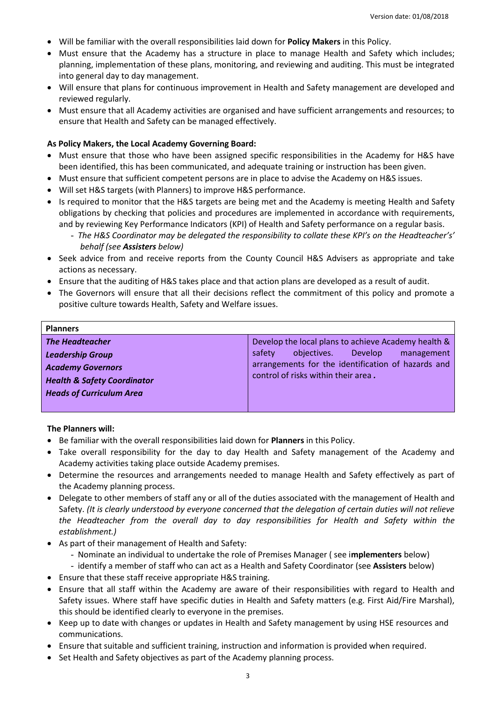- Will be familiar with the overall responsibilities laid down for **Policy Makers** in this Policy.
- Must ensure that the Academy has a structure in place to manage Health and Safety which includes; planning, implementation of these plans, monitoring, and reviewing and auditing. This must be integrated into general day to day management.
- Will ensure that plans for continuous improvement in Health and Safety management are developed and reviewed regularly.
- Must ensure that all Academy activities are organised and have sufficient arrangements and resources; to ensure that Health and Safety can be managed effectively.

#### **As Policy Makers, the Local Academy Governing Board:**

- Must ensure that those who have been assigned specific responsibilities in the Academy for H&S have been identified, this has been communicated, and adequate training or instruction has been given.
- Must ensure that sufficient competent persons are in place to advise the Academy on H&S issues.
- Will set H&S targets (with Planners) to improve H&S performance.
- Is required to monitor that the H&S targets are being met and the Academy is meeting Health and Safety obligations by checking that policies and procedures are implemented in accordance with requirements, and by reviewing Key Performance Indicators (KPI) of Health and Safety performance on a regular basis.
	- The H&S Coordinator may be delegated the responsibility to collate these KPI's on the Headteacher's' *behalf (see Assisters below)*
- Seek advice from and receive reports from the County Council H&S Advisers as appropriate and take actions as necessary.
- Ensure that the auditing of H&S takes place and that action plans are developed as a result of audit.
- The Governors will ensure that all their decisions reflect the commitment of this policy and promote a positive culture towards Health, Safety and Welfare issues.

| <b>Planners</b>                        |                                                     |  |
|----------------------------------------|-----------------------------------------------------|--|
| <b>The Headteacher</b>                 | Develop the local plans to achieve Academy health & |  |
| <b>Leadership Group</b>                | safety<br>Develop<br>objectives.<br>management      |  |
| <b>Academy Governors</b>               | arrangements for the identification of hazards and  |  |
| <b>Health &amp; Safety Coordinator</b> | control of risks within their area.                 |  |
| <b>Heads of Curriculum Area</b>        |                                                     |  |
|                                        |                                                     |  |

**The Planners will:**

- Be familiar with the overall responsibilities laid down for **Planners** in this Policy.
- Take overall responsibility for the day to day Health and Safety management of the Academy and Academy activities taking place outside Academy premises.
- Determine the resources and arrangements needed to manage Health and Safety effectively as part of the Academy planning process.
- Delegate to other members of staff any or all of the duties associated with the management of Health and Safety. *(It is clearly understood by everyone concerned that the delegation of certain duties will not relieve the Headteacher from the overall day to day responsibilities for Health and Safety within the establishment.)*
- As part of their management of Health and Safety:
	- Nominate an individual to undertake the role of Premises Manager ( see i**mplementers** below)
	- identify a member of staff who can act as a Health and Safety Coordinator (see **Assisters** below)
- Ensure that these staff receive appropriate H&S training.
- Ensure that all staff within the Academy are aware of their responsibilities with regard to Health and Safety issues. Where staff have specific duties in Health and Safety matters (e.g. First Aid/Fire Marshal), this should be identified clearly to everyone in the premises.
- Keep up to date with changes or updates in Health and Safety management by using HSE resources and communications.
- Ensure that suitable and sufficient training, instruction and information is provided when required.
- Set Health and Safety objectives as part of the Academy planning process.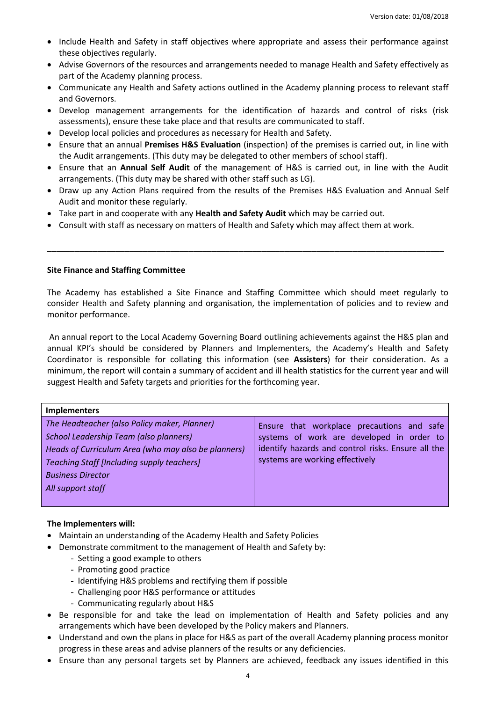- Include Health and Safety in staff objectives where appropriate and assess their performance against these objectives regularly.
- Advise Governors of the resources and arrangements needed to manage Health and Safety effectively as part of the Academy planning process.
- Communicate any Health and Safety actions outlined in the Academy planning process to relevant staff and Governors.
- Develop management arrangements for the identification of hazards and control of risks (risk assessments), ensure these take place and that results are communicated to staff.
- Develop local policies and procedures as necessary for Health and Safety.
- Ensure that an annual **Premises H&S Evaluation** (inspection) of the premises is carried out, in line with the Audit arrangements. (This duty may be delegated to other members of school staff).
- Ensure that an **Annual Self Audit** of the management of H&S is carried out, in line with the Audit arrangements. (This duty may be shared with other staff such as LG).
- Draw up any Action Plans required from the results of the Premises H&S Evaluation and Annual Self Audit and monitor these regularly.

**\_\_\_\_\_\_\_\_\_\_\_\_\_\_\_\_\_\_\_\_\_\_\_\_\_\_\_\_\_\_\_\_\_\_\_\_\_\_\_\_\_\_\_\_\_\_\_\_\_\_\_\_\_\_\_\_\_\_\_\_\_\_\_\_\_\_\_\_\_\_\_\_\_\_\_\_\_\_\_\_\_\_\_\_\_\_\_**

- Take part in and cooperate with any **Health and Safety Audit** which may be carried out.
- Consult with staff as necessary on matters of Health and Safety which may affect them at work.

#### **Site Finance and Staffing Committee**

The Academy has established a Site Finance and Staffing Committee which should meet regularly to consider Health and Safety planning and organisation, the implementation of policies and to review and monitor performance.

An annual report to the Local Academy Governing Board outlining achievements against the H&S plan and annual KPI's should be considered by Planners and Implementers, the Academy's Health and Safety Coordinator is responsible for collating this information (see **Assisters**) for their consideration. As a minimum, the report will contain a summary of accident and ill health statistics for the current year and will suggest Health and Safety targets and priorities for the forthcoming year.

| <b>Implementers</b>                                                                                                                                                                                                                                 |                                                                                                                                                                                  |  |  |  |
|-----------------------------------------------------------------------------------------------------------------------------------------------------------------------------------------------------------------------------------------------------|----------------------------------------------------------------------------------------------------------------------------------------------------------------------------------|--|--|--|
| The Headteacher (also Policy maker, Planner)<br>School Leadership Team (also planners)<br>Heads of Curriculum Area (who may also be planners)<br><b>Teaching Staff [Including supply teachers]</b><br><b>Business Director</b><br>All support staff | Ensure that workplace precautions and safe<br>systems of work are developed in order to<br>identify hazards and control risks. Ensure all the<br>systems are working effectively |  |  |  |
|                                                                                                                                                                                                                                                     |                                                                                                                                                                                  |  |  |  |

#### **The Implementers will:**

- Maintain an understanding of the Academy Health and Safety Policies
- Demonstrate commitment to the management of Health and Safety by:
	- Setting a good example to others
	- Promoting good practice
	- Identifying H&S problems and rectifying them if possible
	- Challenging poor H&S performance or attitudes
	- Communicating regularly about H&S
- Be responsible for and take the lead on implementation of Health and Safety policies and any arrangements which have been developed by the Policy makers and Planners.
- Understand and own the plans in place for H&S as part of the overall Academy planning process monitor progress in these areas and advise planners of the results or any deficiencies.
- Ensure than any personal targets set by Planners are achieved, feedback any issues identified in this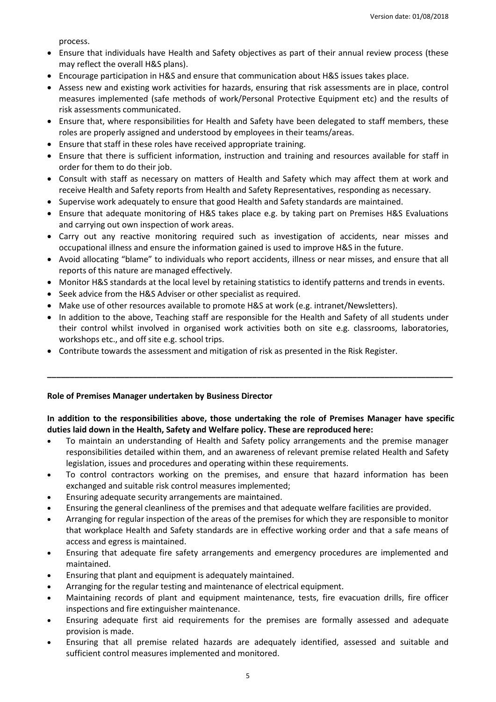process.

- Ensure that individuals have Health and Safety objectives as part of their annual review process (these may reflect the overall H&S plans).
- Encourage participation in H&S and ensure that communication about H&S issues takes place.
- Assess new and existing work activities for hazards, ensuring that risk assessments are in place, control measures implemented (safe methods of work/Personal Protective Equipment etc) and the results of risk assessments communicated.
- Ensure that, where responsibilities for Health and Safety have been delegated to staff members, these roles are properly assigned and understood by employees in their teams/areas.
- Ensure that staff in these roles have received appropriate training.
- Ensure that there is sufficient information, instruction and training and resources available for staff in order for them to do their job.
- Consult with staff as necessary on matters of Health and Safety which may affect them at work and receive Health and Safety reports from Health and Safety Representatives, responding as necessary.
- Supervise work adequately to ensure that good Health and Safety standards are maintained.
- Ensure that adequate monitoring of H&S takes place e.g. by taking part on Premises H&S Evaluations and carrying out own inspection of work areas.
- Carry out any reactive monitoring required such as investigation of accidents, near misses and occupational illness and ensure the information gained is used to improve H&S in the future.
- Avoid allocating "blame" to individuals who report accidents, illness or near misses, and ensure that all reports of this nature are managed effectively.
- Monitor H&S standards at the local level by retaining statistics to identify patterns and trends in events.
- Seek advice from the H&S Adviser or other specialist as required.
- Make use of other resources available to promote H&S at work (e.g. intranet/Newsletters).
- In addition to the above, Teaching staff are responsible for the Health and Safety of all students under their control whilst involved in organised work activities both on site e.g. classrooms, laboratories, workshops etc., and off site e.g. school trips.

**\_\_\_\_\_\_\_\_\_\_\_\_\_\_\_\_\_\_\_\_\_\_\_\_\_\_\_\_\_\_\_\_\_\_\_\_\_\_\_\_\_\_\_\_\_\_\_\_\_\_\_\_\_\_\_\_\_\_\_\_\_\_\_\_\_\_\_\_\_\_\_\_\_\_\_\_\_\_\_\_\_\_\_\_\_\_\_\_\_**

Contribute towards the assessment and mitigation of risk as presented in the Risk Register.

#### **Role of Premises Manager undertaken by Business Director**

## **In addition to the responsibilities above, those undertaking the role of Premises Manager have specific duties laid down in the Health, Safety and Welfare policy. These are reproduced here:**

- To maintain an understanding of Health and Safety policy arrangements and the premise manager responsibilities detailed within them, and an awareness of relevant premise related Health and Safety legislation, issues and procedures and operating within these requirements.
- To control contractors working on the premises, and ensure that hazard information has been exchanged and suitable risk control measures implemented;
- Ensuring adequate security arrangements are maintained.
- Ensuring the general cleanliness of the premises and that adequate welfare facilities are provided.
- Arranging for regular inspection of the areas of the premises for which they are responsible to monitor that workplace Health and Safety standards are in effective working order and that a safe means of access and egress is maintained.
- Ensuring that adequate fire safety arrangements and emergency procedures are implemented and maintained.
- Ensuring that plant and equipment is adequately maintained.
- Arranging for the regular testing and maintenance of electrical equipment.
- Maintaining records of plant and equipment maintenance, tests, fire evacuation drills, fire officer inspections and fire extinguisher maintenance.
- Ensuring adequate first aid requirements for the premises are formally assessed and adequate provision is made.
- Ensuring that all premise related hazards are adequately identified, assessed and suitable and sufficient control measures implemented and monitored.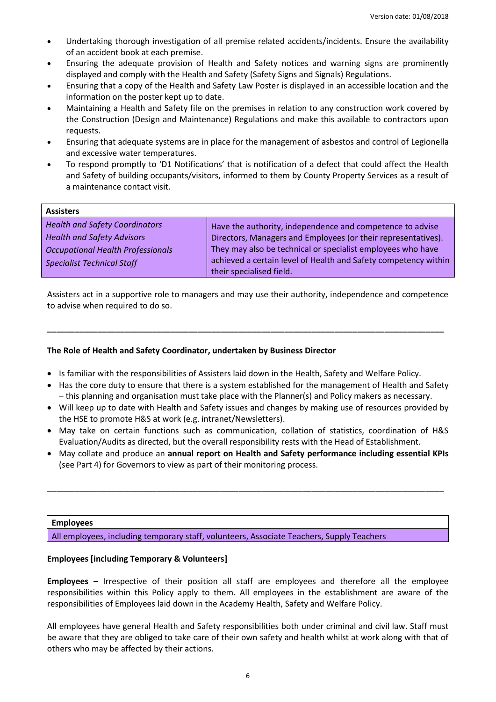- Undertaking thorough investigation of all premise related accidents/incidents. Ensure the availability of an accident book at each premise.
- Ensuring the adequate provision of Health and Safety notices and warning signs are prominently displayed and comply with the Health and Safety (Safety Signs and Signals) Regulations.
- Ensuring that a copy of the Health and Safety Law Poster is displayed in an accessible location and the information on the poster kept up to date.
- Maintaining a Health and Safety file on the premises in relation to any construction work covered by the Construction (Design and Maintenance) Regulations and make this available to contractors upon requests.
- Ensuring that adequate systems are in place for the management of asbestos and control of Legionella and excessive water temperatures.
- To respond promptly to 'D1 Notifications' that is notification of a defect that could affect the Health and Safety of building occupants/visitors, informed to them by County Property Services as a result of a maintenance contact visit.

| <b>Assisters</b>                         |                                                                 |
|------------------------------------------|-----------------------------------------------------------------|
| <b>Health and Safety Coordinators</b>    | Have the authority, independence and competence to advise       |
| <b>Health and Safety Advisors</b>        | Directors, Managers and Employees (or their representatives).   |
| <b>Occupational Health Professionals</b> | They may also be technical or specialist employees who have     |
| <b>Specialist Technical Staff</b>        | achieved a certain level of Health and Safety competency within |
|                                          | their specialised field.                                        |

Assisters act in a supportive role to managers and may use their authority, independence and competence to advise when required to do so.

**\_\_\_\_\_\_\_\_\_\_\_\_\_\_\_\_\_\_\_\_\_\_\_\_\_\_\_\_\_\_\_\_\_\_\_\_\_\_\_\_\_\_\_\_\_\_\_\_\_\_\_\_\_\_\_\_\_\_\_\_\_\_\_\_\_\_\_\_\_\_\_\_\_\_\_\_\_\_\_\_\_\_\_\_\_\_\_**

## **The Role of Health and Safety Coordinator, undertaken by Business Director**

- Is familiar with the responsibilities of Assisters laid down in the Health, Safety and Welfare Policy.
- Has the core duty to ensure that there is a system established for the management of Health and Safety – this planning and organisation must take place with the Planner(s) and Policy makers as necessary.
- Will keep up to date with Health and Safety issues and changes by making use of resources provided by the HSE to promote H&S at work (e.g. intranet/Newsletters).
- May take on certain functions such as communication, collation of statistics, coordination of H&S Evaluation/Audits as directed, but the overall responsibility rests with the Head of Establishment.
- May collate and produce an **annual report on Health and Safety performance including essential KPIs** (see Part 4) for Governors to view as part of their monitoring process.

\_\_\_\_\_\_\_\_\_\_\_\_\_\_\_\_\_\_\_\_\_\_\_\_\_\_\_\_\_\_\_\_\_\_\_\_\_\_\_\_\_\_\_\_\_\_\_\_\_\_\_\_\_\_\_\_\_\_\_\_\_\_\_\_\_\_\_\_\_\_\_\_\_\_\_\_\_\_\_\_\_\_\_\_\_\_\_

#### **Employees**

All employees, including temporary staff, volunteers, Associate Teachers, Supply Teachers

#### **Employees [including Temporary & Volunteers]**

**Employees** – Irrespective of their position all staff are employees and therefore all the employee responsibilities within this Policy apply to them. All employees in the establishment are aware of the responsibilities of Employees laid down in the Academy Health, Safety and Welfare Policy.

All employees have general Health and Safety responsibilities both under criminal and civil law. Staff must be aware that they are obliged to take care of their own safety and health whilst at work along with that of others who may be affected by their actions.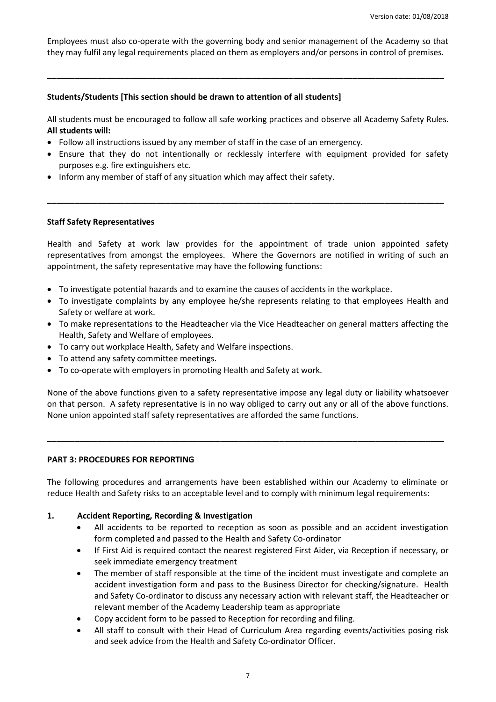Employees must also co-operate with the governing body and senior management of the Academy so that they may fulfil any legal requirements placed on them as employers and/or persons in control of premises.

**\_\_\_\_\_\_\_\_\_\_\_\_\_\_\_\_\_\_\_\_\_\_\_\_\_\_\_\_\_\_\_\_\_\_\_\_\_\_\_\_\_\_\_\_\_\_\_\_\_\_\_\_\_\_\_\_\_\_\_\_\_\_\_\_\_\_\_\_\_\_\_\_\_\_\_\_\_\_\_\_\_\_\_\_\_\_\_**

#### **Students/Students [This section should be drawn to attention of all students]**

All students must be encouraged to follow all safe working practices and observe all Academy Safety Rules. **All students will:**

- Follow all instructions issued by any member of staff in the case of an emergency.
- Ensure that they do not intentionally or recklessly interfere with equipment provided for safety purposes e.g. fire extinguishers etc.

**\_\_\_\_\_\_\_\_\_\_\_\_\_\_\_\_\_\_\_\_\_\_\_\_\_\_\_\_\_\_\_\_\_\_\_\_\_\_\_\_\_\_\_\_\_\_\_\_\_\_\_\_\_\_\_\_\_\_\_\_\_\_\_\_\_\_\_\_\_\_\_\_\_\_\_\_\_\_\_\_\_\_\_\_\_\_\_**

• Inform any member of staff of any situation which may affect their safety.

#### **Staff Safety Representatives**

Health and Safety at work law provides for the appointment of trade union appointed safety representatives from amongst the employees. Where the Governors are notified in writing of such an appointment, the safety representative may have the following functions:

- To investigate potential hazards and to examine the causes of accidents in the workplace.
- To investigate complaints by any employee he/she represents relating to that employees Health and Safety or welfare at work.
- To make representations to the Headteacher via the Vice Headteacher on general matters affecting the Health, Safety and Welfare of employees.
- To carry out workplace Health, Safety and Welfare inspections.
- To attend any safety committee meetings.
- To co-operate with employers in promoting Health and Safety at work.

None of the above functions given to a safety representative impose any legal duty or liability whatsoever on that person. A safety representative is in no way obliged to carry out any or all of the above functions. None union appointed staff safety representatives are afforded the same functions.

**\_\_\_\_\_\_\_\_\_\_\_\_\_\_\_\_\_\_\_\_\_\_\_\_\_\_\_\_\_\_\_\_\_\_\_\_\_\_\_\_\_\_\_\_\_\_\_\_\_\_\_\_\_\_\_\_\_\_\_\_\_\_\_\_\_\_\_\_\_\_\_\_\_\_\_\_\_\_\_\_\_\_\_\_\_\_\_**

#### **PART 3: PROCEDURES FOR REPORTING**

The following procedures and arrangements have been established within our Academy to eliminate or reduce Health and Safety risks to an acceptable level and to comply with minimum legal requirements:

#### **1. Accident Reporting, Recording & Investigation**

- All accidents to be reported to reception as soon as possible and an accident investigation form completed and passed to the Health and Safety Co-ordinator
- If First Aid is required contact the nearest registered First Aider, via Reception if necessary, or seek immediate emergency treatment
- The member of staff responsible at the time of the incident must investigate and complete an accident investigation form and pass to the Business Director for checking/signature. Health and Safety Co-ordinator to discuss any necessary action with relevant staff, the Headteacher or relevant member of the Academy Leadership team as appropriate
- Copy accident form to be passed to Reception for recording and filing.
- All staff to consult with their Head of Curriculum Area regarding events/activities posing risk and seek advice from the Health and Safety Co-ordinator Officer.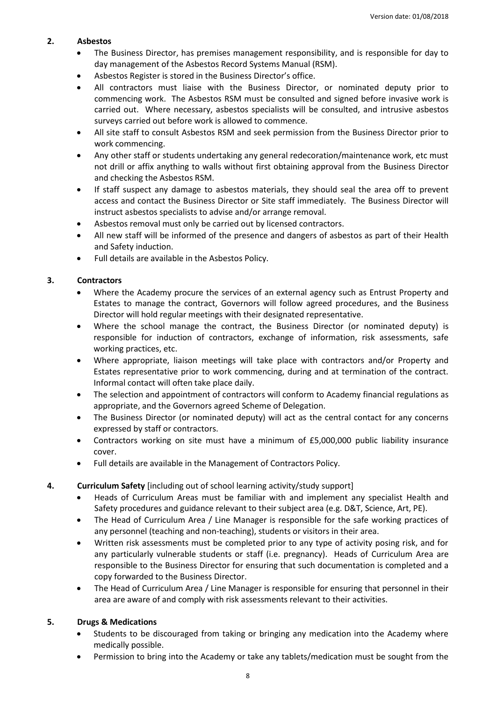#### **2. Asbestos**

- The Business Director, has premises management responsibility, and is responsible for day to day management of the Asbestos Record Systems Manual (RSM).
- Asbestos Register is stored in the Business Director's office.
- All contractors must liaise with the Business Director, or nominated deputy prior to commencing work. The Asbestos RSM must be consulted and signed before invasive work is carried out. Where necessary, asbestos specialists will be consulted, and intrusive asbestos surveys carried out before work is allowed to commence.
- All site staff to consult Asbestos RSM and seek permission from the Business Director prior to work commencing.
- Any other staff or students undertaking any general redecoration/maintenance work, etc must not drill or affix anything to walls without first obtaining approval from the Business Director and checking the Asbestos RSM.
- If staff suspect any damage to asbestos materials, they should seal the area off to prevent access and contact the Business Director or Site staff immediately. The Business Director will instruct asbestos specialists to advise and/or arrange removal.
- Asbestos removal must only be carried out by licensed contractors.
- All new staff will be informed of the presence and dangers of asbestos as part of their Health and Safety induction.
- Full details are available in the Asbestos Policy.

#### **3. Contractors**

- Where the Academy procure the services of an external agency such as Entrust Property and Estates to manage the contract, Governors will follow agreed procedures, and the Business Director will hold regular meetings with their designated representative.
- Where the school manage the contract, the Business Director (or nominated deputy) is responsible for induction of contractors, exchange of information, risk assessments, safe working practices, etc.
- Where appropriate, liaison meetings will take place with contractors and/or Property and Estates representative prior to work commencing, during and at termination of the contract. Informal contact will often take place daily.
- The selection and appointment of contractors will conform to Academy financial regulations as appropriate, and the Governors agreed Scheme of Delegation.
- The Business Director (or nominated deputy) will act as the central contact for any concerns expressed by staff or contractors.
- Contractors working on site must have a minimum of £5,000,000 public liability insurance cover.
- Full details are available in the Management of Contractors Policy.
- **4. Curriculum Safety** [including out of school learning activity/study support]
	- Heads of Curriculum Areas must be familiar with and implement any specialist Health and Safety procedures and guidance relevant to their subject area (e.g. D&T, Science, Art, PE).
	- The Head of Curriculum Area / Line Manager is responsible for the safe working practices of any personnel (teaching and non-teaching), students or visitors in their area.
	- Written risk assessments must be completed prior to any type of activity posing risk, and for any particularly vulnerable students or staff (i.e. pregnancy). Heads of Curriculum Area are responsible to the Business Director for ensuring that such documentation is completed and a copy forwarded to the Business Director.
	- The Head of Curriculum Area / Line Manager is responsible for ensuring that personnel in their area are aware of and comply with risk assessments relevant to their activities.

#### **5. Drugs & Medications**

- Students to be discouraged from taking or bringing any medication into the Academy where medically possible.
- Permission to bring into the Academy or take any tablets/medication must be sought from the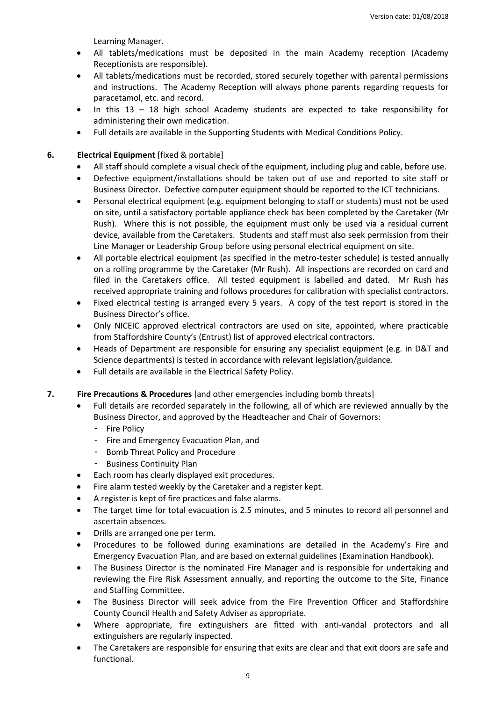Learning Manager.

- All tablets/medications must be deposited in the main Academy reception (Academy Receptionists are responsible).
- All tablets/medications must be recorded, stored securely together with parental permissions and instructions. The Academy Reception will always phone parents regarding requests for paracetamol, etc. and record.
- In this 13 18 high school Academy students are expected to take responsibility for administering their own medication.
- Full details are available in the Supporting Students with Medical Conditions Policy.

## **6. Electrical Equipment** [fixed & portable]

- All staff should complete a visual check of the equipment, including plug and cable, before use.
- Defective equipment/installations should be taken out of use and reported to site staff or Business Director. Defective computer equipment should be reported to the ICT technicians.
- Personal electrical equipment (e.g. equipment belonging to staff or students) must not be used on site, until a satisfactory portable appliance check has been completed by the Caretaker (Mr Rush). Where this is not possible, the equipment must only be used via a residual current device, available from the Caretakers. Students and staff must also seek permission from their Line Manager or Leadership Group before using personal electrical equipment on site.
- All portable electrical equipment (as specified in the metro-tester schedule) is tested annually on a rolling programme by the Caretaker (Mr Rush). All inspections are recorded on card and filed in the Caretakers office. All tested equipment is labelled and dated. Mr Rush has received appropriate training and follows procedures for calibration with specialist contractors.
- Fixed electrical testing is arranged every 5 years. A copy of the test report is stored in the Business Director's office.
- Only NICEIC approved electrical contractors are used on site, appointed, where practicable from Staffordshire County's (Entrust) list of approved electrical contractors.
- Heads of Department are responsible for ensuring any specialist equipment (e.g. in D&T and Science departments) is tested in accordance with relevant legislation/guidance.
- Full details are available in the Electrical Safety Policy.
- **7. Fire Precautions & Procedures** [and other emergencies including bomb threats]
	- Full details are recorded separately in the following, all of which are reviewed annually by the Business Director, and approved by the Headteacher and Chair of Governors:
		- Fire Policy
		- Fire and Emergency Evacuation Plan, and
		- Bomb Threat Policy and Procedure
		- **Business Continuity Plan**
	- Each room has clearly displayed exit procedures.
	- Fire alarm tested weekly by the Caretaker and a register kept.
	- A register is kept of fire practices and false alarms.
	- The target time for total evacuation is 2.5 minutes, and 5 minutes to record all personnel and ascertain absences.
	- Drills are arranged one per term.
	- Procedures to be followed during examinations are detailed in the Academy's Fire and Emergency Evacuation Plan, and are based on external guidelines (Examination Handbook).
	- The Business Director is the nominated Fire Manager and is responsible for undertaking and reviewing the Fire Risk Assessment annually, and reporting the outcome to the Site, Finance and Staffing Committee.
	- The Business Director will seek advice from the Fire Prevention Officer and Staffordshire County Council Health and Safety Adviser as appropriate.
	- Where appropriate, fire extinguishers are fitted with anti-vandal protectors and all extinguishers are regularly inspected.
	- The Caretakers are responsible for ensuring that exits are clear and that exit doors are safe and functional.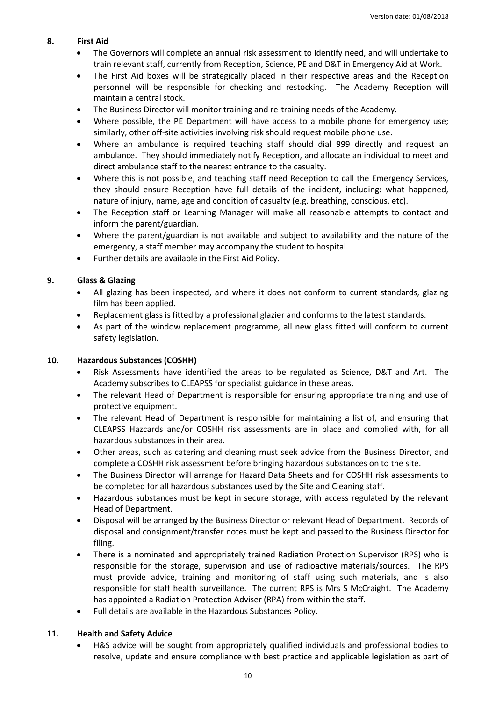#### **8. First Aid**

- The Governors will complete an annual risk assessment to identify need, and will undertake to train relevant staff, currently from Reception, Science, PE and D&T in Emergency Aid at Work.
- The First Aid boxes will be strategically placed in their respective areas and the Reception personnel will be responsible for checking and restocking. The Academy Reception will maintain a central stock.
- The Business Director will monitor training and re-training needs of the Academy.
- Where possible, the PE Department will have access to a mobile phone for emergency use; similarly, other off-site activities involving risk should request mobile phone use.
- Where an ambulance is required teaching staff should dial 999 directly and request an ambulance. They should immediately notify Reception, and allocate an individual to meet and direct ambulance staff to the nearest entrance to the casualty.
- Where this is not possible, and teaching staff need Reception to call the Emergency Services, they should ensure Reception have full details of the incident, including: what happened, nature of injury, name, age and condition of casualty (e.g. breathing, conscious, etc).
- The Reception staff or Learning Manager will make all reasonable attempts to contact and inform the parent/guardian.
- Where the parent/guardian is not available and subject to availability and the nature of the emergency, a staff member may accompany the student to hospital.
- Further details are available in the First Aid Policy.

# **9. Glass & Glazing**

- All glazing has been inspected, and where it does not conform to current standards, glazing film has been applied.
- Replacement glass is fitted by a professional glazier and conforms to the latest standards.
- As part of the window replacement programme, all new glass fitted will conform to current safety legislation.

# **10. Hazardous Substances (COSHH)**

- Risk Assessments have identified the areas to be regulated as Science, D&T and Art. The Academy subscribes to CLEAPSS for specialist guidance in these areas.
- The relevant Head of Department is responsible for ensuring appropriate training and use of protective equipment.
- The relevant Head of Department is responsible for maintaining a list of, and ensuring that CLEAPSS Hazcards and/or COSHH risk assessments are in place and complied with, for all hazardous substances in their area.
- Other areas, such as catering and cleaning must seek advice from the Business Director, and complete a COSHH risk assessment before bringing hazardous substances on to the site.
- The Business Director will arrange for Hazard Data Sheets and for COSHH risk assessments to be completed for all hazardous substances used by the Site and Cleaning staff.
- Hazardous substances must be kept in secure storage, with access regulated by the relevant Head of Department.
- Disposal will be arranged by the Business Director or relevant Head of Department. Records of disposal and consignment/transfer notes must be kept and passed to the Business Director for filing.
- There is a nominated and appropriately trained Radiation Protection Supervisor (RPS) who is responsible for the storage, supervision and use of radioactive materials/sources. The RPS must provide advice, training and monitoring of staff using such materials, and is also responsible for staff health surveillance. The current RPS is Mrs S McCraight. The Academy has appointed a Radiation Protection Adviser (RPA) from within the staff.
- Full details are available in the Hazardous Substances Policy.

# **11. Health and Safety Advice**

 H&S advice will be sought from appropriately qualified individuals and professional bodies to resolve, update and ensure compliance with best practice and applicable legislation as part of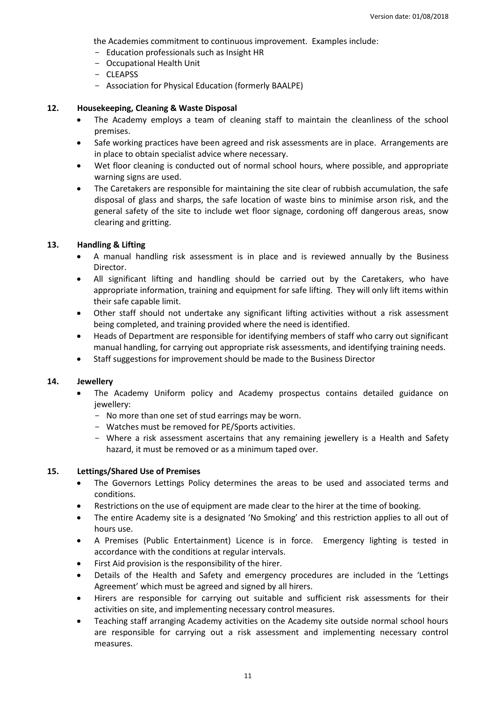the Academies commitment to continuous improvement. Examples include:

- Education professionals such as Insight HR
- Occupational Health Unit
- CLEAPSS
- Association for Physical Education (formerly BAALPE)

#### **12. Housekeeping, Cleaning & Waste Disposal**

- The Academy employs a team of cleaning staff to maintain the cleanliness of the school premises.
- Safe working practices have been agreed and risk assessments are in place. Arrangements are in place to obtain specialist advice where necessary.
- Wet floor cleaning is conducted out of normal school hours, where possible, and appropriate warning signs are used.
- The Caretakers are responsible for maintaining the site clear of rubbish accumulation, the safe disposal of glass and sharps, the safe location of waste bins to minimise arson risk, and the general safety of the site to include wet floor signage, cordoning off dangerous areas, snow clearing and gritting.

## **13. Handling & Lifting**

- A manual handling risk assessment is in place and is reviewed annually by the Business Director.
- All significant lifting and handling should be carried out by the Caretakers, who have appropriate information, training and equipment for safe lifting. They will only lift items within their safe capable limit.
- Other staff should not undertake any significant lifting activities without a risk assessment being completed, and training provided where the need is identified.
- Heads of Department are responsible for identifying members of staff who carry out significant manual handling, for carrying out appropriate risk assessments, and identifying training needs.
- Staff suggestions for improvement should be made to the Business Director

#### **14. Jewellery**

- The Academy Uniform policy and Academy prospectus contains detailed guidance on jewellery:
	- No more than one set of stud earrings may be worn.
	- Watches must be removed for PE/Sports activities.
	- Where a risk assessment ascertains that any remaining jewellery is a Health and Safety hazard, it must be removed or as a minimum taped over.

#### **15. Lettings/Shared Use of Premises**

- The Governors Lettings Policy determines the areas to be used and associated terms and conditions.
- Restrictions on the use of equipment are made clear to the hirer at the time of booking.
- The entire Academy site is a designated 'No Smoking' and this restriction applies to all out of hours use.
- A Premises (Public Entertainment) Licence is in force. Emergency lighting is tested in accordance with the conditions at regular intervals.
- First Aid provision is the responsibility of the hirer.
- Details of the Health and Safety and emergency procedures are included in the 'Lettings Agreement' which must be agreed and signed by all hirers.
- Hirers are responsible for carrying out suitable and sufficient risk assessments for their activities on site, and implementing necessary control measures.
- Teaching staff arranging Academy activities on the Academy site outside normal school hours are responsible for carrying out a risk assessment and implementing necessary control measures.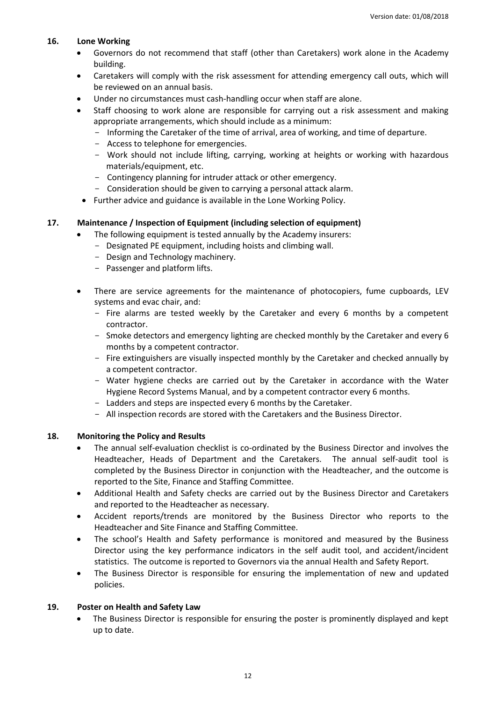#### **16. Lone Working**

- Governors do not recommend that staff (other than Caretakers) work alone in the Academy building.
- Caretakers will comply with the risk assessment for attending emergency call outs, which will be reviewed on an annual basis.
- Under no circumstances must cash-handling occur when staff are alone.
- Staff choosing to work alone are responsible for carrying out a risk assessment and making appropriate arrangements, which should include as a minimum:
	- Informing the Caretaker of the time of arrival, area of working, and time of departure.
	- Access to telephone for emergencies.
	- Work should not include lifting, carrying, working at heights or working with hazardous materials/equipment, etc.
	- Contingency planning for intruder attack or other emergency.
	- Consideration should be given to carrying a personal attack alarm.
- Further advice and guidance is available in the Lone Working Policy.

## **17. Maintenance / Inspection of Equipment (including selection of equipment)**

- The following equipment is tested annually by the Academy insurers:
	- Designated PE equipment, including hoists and climbing wall.
		- Design and Technology machinery.
		- Passenger and platform lifts.
- There are service agreements for the maintenance of photocopiers, fume cupboards, LEV systems and evac chair, and:
	- Fire alarms are tested weekly by the Caretaker and every 6 months by a competent contractor.
	- Smoke detectors and emergency lighting are checked monthly by the Caretaker and every 6 months by a competent contractor.
	- Fire extinguishers are visually inspected monthly by the Caretaker and checked annually by a competent contractor.
	- Water hygiene checks are carried out by the Caretaker in accordance with the Water Hygiene Record Systems Manual, and by a competent contractor every 6 months.
	- Ladders and steps are inspected every 6 months by the Caretaker.
	- All inspection records are stored with the Caretakers and the Business Director.

#### **18. Monitoring the Policy and Results**

- The annual self-evaluation checklist is co-ordinated by the Business Director and involves the Headteacher, Heads of Department and the Caretakers. The annual self-audit tool is completed by the Business Director in conjunction with the Headteacher, and the outcome is reported to the Site, Finance and Staffing Committee.
- Additional Health and Safety checks are carried out by the Business Director and Caretakers and reported to the Headteacher as necessary.
- Accident reports/trends are monitored by the Business Director who reports to the Headteacher and Site Finance and Staffing Committee.
- The school's Health and Safety performance is monitored and measured by the Business Director using the key performance indicators in the self audit tool, and accident/incident statistics. The outcome is reported to Governors via the annual Health and Safety Report.
- The Business Director is responsible for ensuring the implementation of new and updated policies.

#### **19. Poster on Health and Safety Law**

 The Business Director is responsible for ensuring the poster is prominently displayed and kept up to date.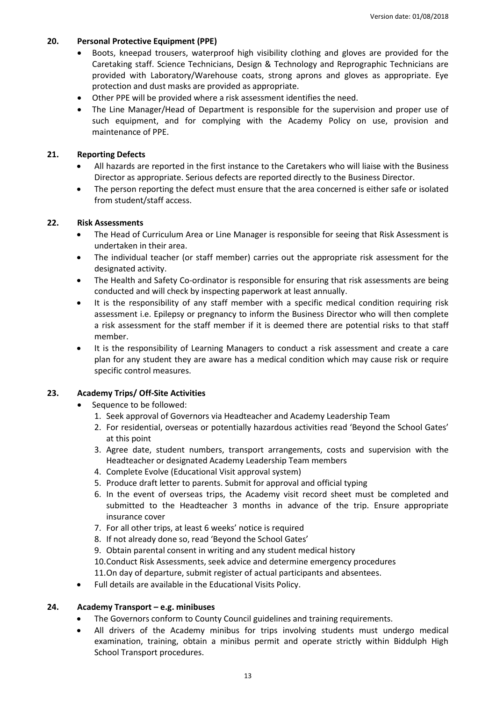#### **20. Personal Protective Equipment (PPE)**

- Boots, kneepad trousers, waterproof high visibility clothing and gloves are provided for the Caretaking staff. Science Technicians, Design & Technology and Reprographic Technicians are provided with Laboratory/Warehouse coats, strong aprons and gloves as appropriate. Eye protection and dust masks are provided as appropriate.
- Other PPE will be provided where a risk assessment identifies the need.
- The Line Manager/Head of Department is responsible for the supervision and proper use of such equipment, and for complying with the Academy Policy on use, provision and maintenance of PPE.

#### **21. Reporting Defects**

- All hazards are reported in the first instance to the Caretakers who will liaise with the Business Director as appropriate. Serious defects are reported directly to the Business Director.
- The person reporting the defect must ensure that the area concerned is either safe or isolated from student/staff access.

## **22. Risk Assessments**

- The Head of Curriculum Area or Line Manager is responsible for seeing that Risk Assessment is undertaken in their area.
- The individual teacher (or staff member) carries out the appropriate risk assessment for the designated activity.
- The Health and Safety Co-ordinator is responsible for ensuring that risk assessments are being conducted and will check by inspecting paperwork at least annually.
- It is the responsibility of any staff member with a specific medical condition requiring risk assessment i.e. Epilepsy or pregnancy to inform the Business Director who will then complete a risk assessment for the staff member if it is deemed there are potential risks to that staff member.
- It is the responsibility of Learning Managers to conduct a risk assessment and create a care plan for any student they are aware has a medical condition which may cause risk or require specific control measures.

# **23. Academy Trips/ Off-Site Activities**

- Sequence to be followed:
	- 1. Seek approval of Governors via Headteacher and Academy Leadership Team
	- 2. For residential, overseas or potentially hazardous activities read 'Beyond the School Gates' at this point
	- 3. Agree date, student numbers, transport arrangements, costs and supervision with the Headteacher or designated Academy Leadership Team members
	- 4. Complete Evolve (Educational Visit approval system)
	- 5. Produce draft letter to parents. Submit for approval and official typing
	- 6. In the event of overseas trips, the Academy visit record sheet must be completed and submitted to the Headteacher 3 months in advance of the trip. Ensure appropriate insurance cover
	- 7. For all other trips, at least 6 weeks' notice is required
	- 8. If not already done so, read 'Beyond the School Gates'
	- 9. Obtain parental consent in writing and any student medical history
	- 10.Conduct Risk Assessments, seek advice and determine emergency procedures
	- 11.On day of departure, submit register of actual participants and absentees.
- Full details are available in the Educational Visits Policy.

## **24. Academy Transport – e.g. minibuses**

- The Governors conform to County Council guidelines and training requirements.
- All drivers of the Academy minibus for trips involving students must undergo medical examination, training, obtain a minibus permit and operate strictly within Biddulph High School Transport procedures.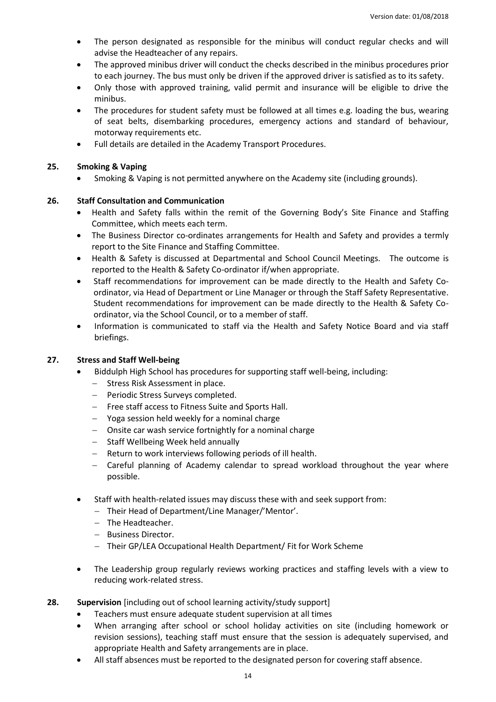- The person designated as responsible for the minibus will conduct regular checks and will advise the Headteacher of any repairs.
- The approved minibus driver will conduct the checks described in the minibus procedures prior to each journey. The bus must only be driven if the approved driver is satisfied as to its safety.
- Only those with approved training, valid permit and insurance will be eligible to drive the minibus.
- The procedures for student safety must be followed at all times e.g. loading the bus, wearing of seat belts, disembarking procedures, emergency actions and standard of behaviour, motorway requirements etc.
- Full details are detailed in the Academy Transport Procedures.

#### **25. Smoking & Vaping**

Smoking & Vaping is not permitted anywhere on the Academy site (including grounds).

## **26. Staff Consultation and Communication**

- Health and Safety falls within the remit of the Governing Body's Site Finance and Staffing Committee, which meets each term.
- The Business Director co-ordinates arrangements for Health and Safety and provides a termly report to the Site Finance and Staffing Committee.
- Health & Safety is discussed at Departmental and School Council Meetings. The outcome is reported to the Health & Safety Co-ordinator if/when appropriate.
- Staff recommendations for improvement can be made directly to the Health and Safety Coordinator, via Head of Department or Line Manager or through the Staff Safety Representative. Student recommendations for improvement can be made directly to the Health & Safety Coordinator, via the School Council, or to a member of staff.
- Information is communicated to staff via the Health and Safety Notice Board and via staff briefings.

#### **27. Stress and Staff Well-being**

- Biddulph High School has procedures for supporting staff well-being, including:
	- $-$  Stress Risk Assessment in place.
	- Periodic Stress Surveys completed.
	- Free staff access to Fitness Suite and Sports Hall.
	- Yoga session held weekly for a nominal charge
	- Onsite car wash service fortnightly for a nominal charge
	- $-$  Staff Wellbeing Week held annually
	- Return to work interviews following periods of ill health.
	- Careful planning of Academy calendar to spread workload throughout the year where possible.
- Staff with health-related issues may discuss these with and seek support from:
	- Their Head of Department/Line Manager/'Mentor'.
	- The Headteacher.
	- Business Director.
	- Their GP/LEA Occupational Health Department/ Fit for Work Scheme
- The Leadership group regularly reviews working practices and staffing levels with a view to reducing work-related stress.
- **28. Supervision** [including out of school learning activity/study support]
	- Teachers must ensure adequate student supervision at all times
	- When arranging after school or school holiday activities on site (including homework or revision sessions), teaching staff must ensure that the session is adequately supervised, and appropriate Health and Safety arrangements are in place.
	- All staff absences must be reported to the designated person for covering staff absence.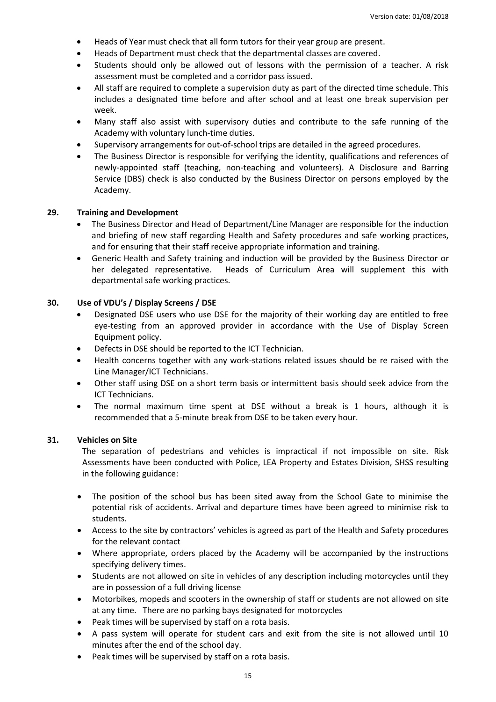- Heads of Year must check that all form tutors for their year group are present.
- Heads of Department must check that the departmental classes are covered.
- Students should only be allowed out of lessons with the permission of a teacher. A risk assessment must be completed and a corridor pass issued.
- All staff are required to complete a supervision duty as part of the directed time schedule. This includes a designated time before and after school and at least one break supervision per week.
- Many staff also assist with supervisory duties and contribute to the safe running of the Academy with voluntary lunch-time duties.
- Supervisory arrangements for out-of-school trips are detailed in the agreed procedures.
- The Business Director is responsible for verifying the identity, qualifications and references of newly-appointed staff (teaching, non-teaching and volunteers). A Disclosure and Barring Service (DBS) check is also conducted by the Business Director on persons employed by the Academy.

#### **29. Training and Development**

- The Business Director and Head of Department/Line Manager are responsible for the induction and briefing of new staff regarding Health and Safety procedures and safe working practices, and for ensuring that their staff receive appropriate information and training.
- Generic Health and Safety training and induction will be provided by the Business Director or her delegated representative. Heads of Curriculum Area will supplement this with departmental safe working practices.

#### **30. Use of VDU's / Display Screens / DSE**

- Designated DSE users who use DSE for the majority of their working day are entitled to free eye-testing from an approved provider in accordance with the Use of Display Screen Equipment policy.
- Defects in DSE should be reported to the ICT Technician.
- Health concerns together with any work-stations related issues should be re raised with the Line Manager/ICT Technicians.
- Other staff using DSE on a short term basis or intermittent basis should seek advice from the ICT Technicians.
- The normal maximum time spent at DSE without a break is 1 hours, although it is recommended that a 5-minute break from DSE to be taken every hour.

#### **31. Vehicles on Site**

The separation of pedestrians and vehicles is impractical if not impossible on site. Risk Assessments have been conducted with Police, LEA Property and Estates Division, SHSS resulting in the following guidance:

- The position of the school bus has been sited away from the School Gate to minimise the potential risk of accidents. Arrival and departure times have been agreed to minimise risk to students.
- Access to the site by contractors' vehicles is agreed as part of the Health and Safety procedures for the relevant contact
- Where appropriate, orders placed by the Academy will be accompanied by the instructions specifying delivery times.
- Students are not allowed on site in vehicles of any description including motorcycles until they are in possession of a full driving license
- Motorbikes, mopeds and scooters in the ownership of staff or students are not allowed on site at any time. There are no parking bays designated for motorcycles
- Peak times will be supervised by staff on a rota basis.
- A pass system will operate for student cars and exit from the site is not allowed until 10 minutes after the end of the school day.
- Peak times will be supervised by staff on a rota basis.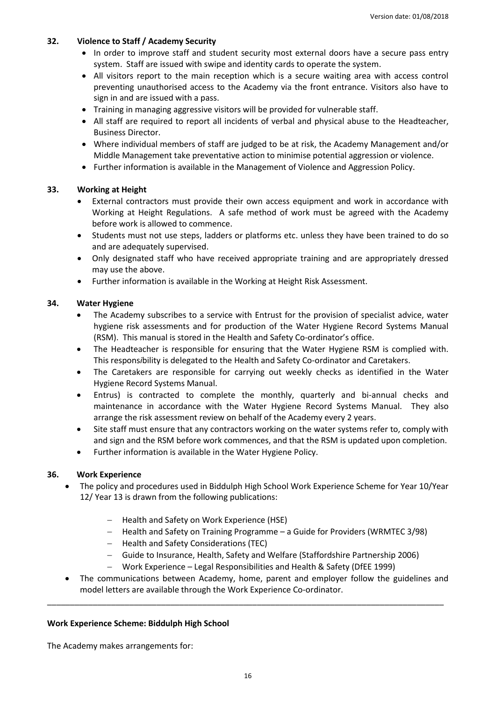#### **32. Violence to Staff / Academy Security**

- In order to improve staff and student security most external doors have a secure pass entry system. Staff are issued with swipe and identity cards to operate the system.
- All visitors report to the main reception which is a secure waiting area with access control preventing unauthorised access to the Academy via the front entrance. Visitors also have to sign in and are issued with a pass.
- Training in managing aggressive visitors will be provided for vulnerable staff.
- All staff are required to report all incidents of verbal and physical abuse to the Headteacher, Business Director.
- Where individual members of staff are judged to be at risk, the Academy Management and/or Middle Management take preventative action to minimise potential aggression or violence.
- Further information is available in the Management of Violence and Aggression Policy.

## **33. Working at Height**

- External contractors must provide their own access equipment and work in accordance with Working at Height Regulations. A safe method of work must be agreed with the Academy before work is allowed to commence.
- Students must not use steps, ladders or platforms etc. unless they have been trained to do so and are adequately supervised.
- Only designated staff who have received appropriate training and are appropriately dressed may use the above.
- Further information is available in the Working at Height Risk Assessment.

## **34. Water Hygiene**

- The Academy subscribes to a service with Entrust for the provision of specialist advice, water hygiene risk assessments and for production of the Water Hygiene Record Systems Manual (RSM). This manual is stored in the Health and Safety Co-ordinator's office.
- The Headteacher is responsible for ensuring that the Water Hygiene RSM is complied with. This respons*i*bility is delegated to the Health and Safety Co-ordinator and Caretakers.
- The Caretakers are responsible for carrying out weekly checks as identified in the Water Hygiene Record Systems Manual.
- Entrus) is contracted to complete the monthly, quarterly and bi-annual checks and maintenance in accordance with the Water Hygiene Record Systems Manual. They also arrange the risk assessment review on behalf of the Academy every 2 years.
- Site staff must ensure that any contractors working on the water systems refer to, comply with and sign and the RSM before work commences, and that the RSM is updated upon completion.
- Further information is available in the Water Hygiene Policy.

#### **36. Work Experience**

- The policy and procedures used in Biddulph High School Work Experience Scheme for Year 10/Year 12/ Year 13 is drawn from the following publications:
	- Health and Safety on Work Experience (HSE)
	- Health and Safety on Training Programme a Guide for Providers (WRMTEC 3/98)
	- Health and Safety Considerations (TEC)
	- Guide to Insurance, Health, Safety and Welfare (Staffordshire Partnership 2006)
	- Work Experience Legal Responsibilities and Health & Safety (DfEE 1999)

\_\_\_\_\_\_\_\_\_\_\_\_\_\_\_\_\_\_\_\_\_\_\_\_\_\_\_\_\_\_\_\_\_\_\_\_\_\_\_\_\_\_\_\_\_\_\_\_\_\_\_\_\_\_\_\_\_\_\_\_\_\_\_\_\_\_\_\_\_\_\_\_\_\_\_\_\_\_\_\_\_\_\_\_\_\_\_

 The communications between Academy, home, parent and employer follow the guidelines and model letters are available through the Work Experience Co-ordinator.

#### **Work Experience Scheme: Biddulph High School**

The Academy makes arrangements for: